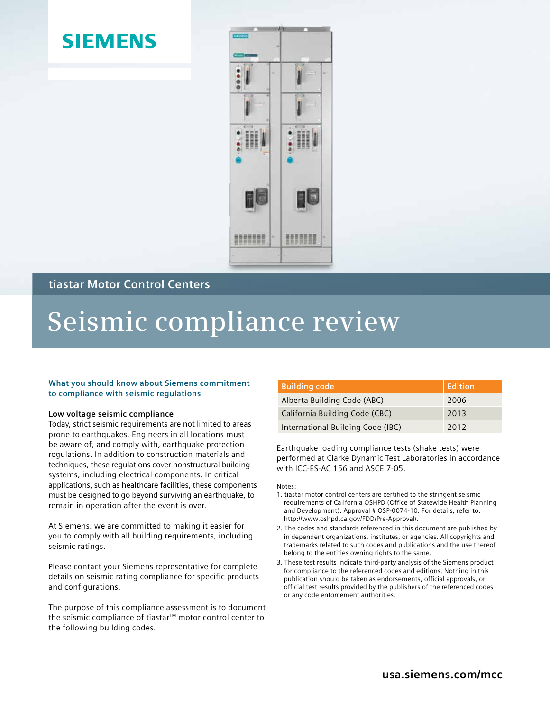## **SIEMENS**



### **tiastar Motor Control Centers**

# **Seismic compliance review**

#### **What you should know about Siemens commitment to compliance with seismic regulations**

#### **Low voltage seismic compliance**

Today, strict seismic requirements are not limited to areas prone to earthquakes. Engineers in all locations must be aware of, and comply with, earthquake protection regulations. In addition to construction materials and techniques, these regulations cover nonstructural building systems, including electrical components. In critical applications, such as healthcare facilities, these components must be designed to go beyond surviving an earthquake, to remain in operation after the event is over.

At Siemens, we are committed to making it easier for you to comply with all building requirements, including seismic ratings.

Please contact your Siemens representative for complete details on seismic rating compliance for specific products and configurations.

The purpose of this compliance assessment is to document the seismic compliance of tiastar™ motor control center to the following building codes.

| <b>Building code</b>              | Edition |
|-----------------------------------|---------|
| Alberta Building Code (ABC)       | 2006    |
| California Building Code (CBC)    | 2013    |
| International Building Code (IBC) | 2012    |

Earthquake loading compliance tests (shake tests) were performed at Clarke Dynamic Test Laboratories in accordance with ICC-ES-AC 156 and ASCE 7-05.

Notes:

- 1. tiastar motor control centers are certified to the stringent seismic requirements of California OSHPD (Office of Statewide Health Planning and Development). Approval # OSP-0074-10. For details, refer to: http://www.oshpd.ca.gov/FDD/Pre-Approval/.
- 2. The codes and standards referenced in this document are published by in dependent organizations, institutes, or agencies. All copyrights and trademarks related to such codes and publications and the use thereof belong to the entities owning rights to the same.
- 3. These test results indicate third-party analysis of the Siemens product for compliance to the referenced codes and editions. Nothing in this publication should be taken as endorsements, official approvals, or official test results provided by the publishers of the referenced codes or any code enforcement authorities.